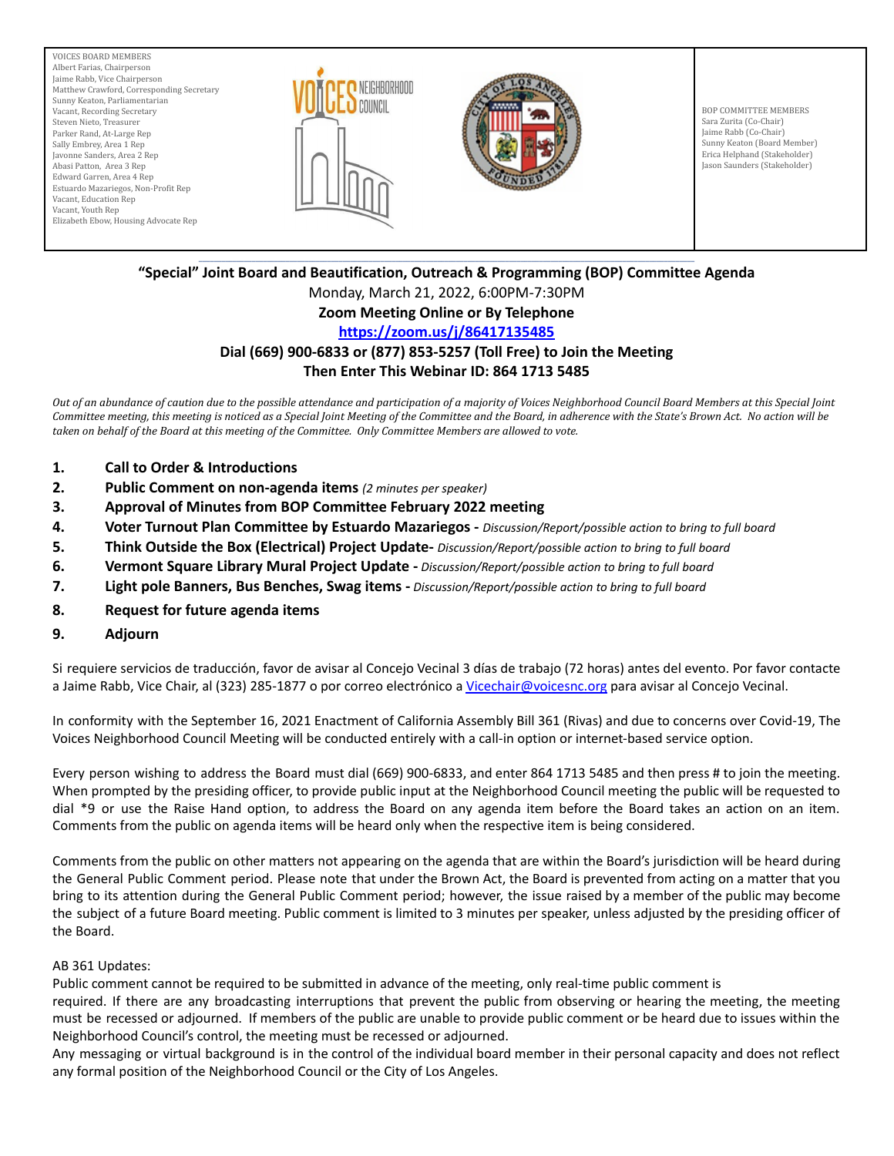





BOP COMMITTEE MEMBERS Sara Zurita (Co-Chair) Jaime Rabb (Co-Chair) Sunny Keaton (Board Member) Erica Helphand (Stakeholder) Jason Saunders (Stakeholder)

#### \_\_\_\_\_\_\_\_\_\_\_\_\_\_\_\_\_\_\_\_\_\_\_\_\_\_\_\_\_\_\_\_\_\_\_\_\_\_\_\_\_\_\_\_\_\_\_\_\_\_\_\_\_\_\_\_\_\_\_\_\_\_\_\_\_\_\_\_\_\_\_\_\_\_\_\_\_\_\_\_\_\_\_\_\_\_\_\_\_\_\_\_\_\_\_\_\_\_\_\_\_\_\_\_\_\_\_\_\_\_\_\_\_\_\_\_\_\_\_\_\_\_\_\_\_\_\_\_\_\_\_ **"Special" Joint Board and Beautification, Outreach & Programming (BOP) Committee Agenda**

Monday, March 21, 2022, 6:00PM-7:30PM

# **Zoom Meeting Online or By Telephone**

## **<https://zoom.us/j/86417135485>**

#### **Dial (669) 900-6833 or (877) 853-5257 (Toll Free) to Join the Meeting Then Enter This Webinar ID: 864 1713 5485**

Out of an abundance of caution due to the possible attendance and participation of a majority of Voices Neighborhood Council Board Members at this Special Joint Committee meeting, this meeting is noticed as a Special Joint Meeting of the Committee and the Board, in adherence with the State's Brown Act. No action will be taken on behalf of the Board at this meeting of the Committee. Only Committee Members are allowed to vote.

- **1. Call to Order & Introductions**
- **2. Public Comment on non-agenda items** *(2 minutes per speaker)*
- **3. Approval of Minutes from BOP Committee February 2022 meeting**
- **4. Voter Turnout Plan Committee by Estuardo Mazariegos -** *Discussion/Report/possible action to bring to full board*
- **5. Think Outside the Box (Electrical) Project Update-** *Discussion/Report/possible action to bring to full board*
- **6. Vermont Square Library Mural Project Update -** *Discussion/Report/possible action to bring to full board*
- **7. Light pole Banners, Bus Benches, Swag items -** *Discussion/Report/possible action to bring to full board*
- **8. Request for future agenda items**
- **9. Adjourn**

Si requiere servicios de traducción, favor de avisar al Concejo Vecinal 3 días de trabajo (72 horas) antes del evento. Por favor contacte a Jaime Rabb, Vice Chair, al (323) 285-1877 o por correo electrónico a [Vicechair@voicesnc.org](mailto:VNCCorrSec18@gmail.com) para avisar al Concejo Vecinal.

In conformity with the September 16, 2021 Enactment of California Assembly Bill 361 (Rivas) and due to concerns over Covid-19, The Voices Neighborhood Council Meeting will be conducted entirely with a call-in option or internet-based service option.

Every person wishing to address the Board must dial (669) 900-6833, and enter 864 1713 5485 and then press # to join the meeting. When prompted by the presiding officer, to provide public input at the Neighborhood Council meeting the public will be requested to dial \*9 or use the Raise Hand option, to address the Board on any agenda item before the Board takes an action on an item. Comments from the public on agenda items will be heard only when the respective item is being considered.

Comments from the public on other matters not appearing on the agenda that are within the Board's jurisdiction will be heard during the General Public Comment period. Please note that under the Brown Act, the Board is prevented from acting on a matter that you bring to its attention during the General Public Comment period; however, the issue raised by a member of the public may become the subject of a future Board meeting. Public comment is limited to 3 minutes per speaker, unless adjusted by the presiding officer of the Board.

#### AB 361 Updates:

Public comment cannot be required to be submitted in advance of the meeting, only real-time public comment is

required. If there are any broadcasting interruptions that prevent the public from observing or hearing the meeting, the meeting must be recessed or adjourned. If members of the public are unable to provide public comment or be heard due to issues within the Neighborhood Council's control, the meeting must be recessed or adjourned.

Any messaging or virtual background is in the control of the individual board member in their personal capacity and does not reflect any formal position of the Neighborhood Council or the City of Los Angeles.